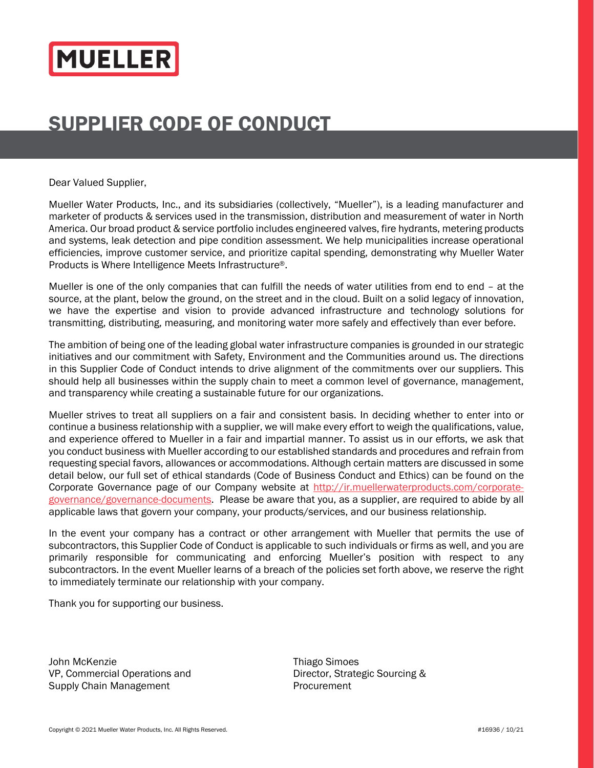# **MUELLER**

# SUPPLIER CODE OF CONDUCT

Dear Valued Supplier,

Mueller Water Products, Inc., and its subsidiaries (collectively, "Mueller"), is a leading manufacturer and marketer of products & services used in the transmission, distribution and measurement of water in North America. Our broad product & service portfolio includes engineered valves, fire hydrants, metering products and systems, leak detection and pipe condition assessment. We help municipalities increase operational efficiencies, improve customer service, and prioritize capital spending, demonstrating why Mueller Water Products is Where Intelligence Meets Infrastructure®.

Mueller is one of the only companies that can fulfill the needs of water utilities from end to end – at the source, at the plant, below the ground, on the street and in the cloud. Built on a solid legacy of innovation, we have the expertise and vision to provide advanced infrastructure and technology solutions for transmitting, distributing, measuring, and monitoring water more safely and effectively than ever before.

The ambition of being one of the leading global water infrastructure companies is grounded in our strategic initiatives and our commitment with Safety, Environment and the Communities around us. The directions in this Supplier Code of Conduct intends to drive alignment of the commitments over our suppliers. This should help all businesses within the supply chain to meet a common level of governance, management, and transparency while creating a sustainable future for our organizations.

Mueller strives to treat all suppliers on a fair and consistent basis. In deciding whether to enter into or continue a business relationship with a supplier, we will make every effort to weigh the qualifications, value, and experience offered to Mueller in a fair and impartial manner. To assist us in our efforts, we ask that you conduct business with Mueller according to our established standards and procedures and refrain from requesting special favors, allowances or accommodations. Although certain matters are discussed in some detail below, our full set of ethical standards (Code of Business Conduct and Ethics) can be found on the Corporate Governance page of our Company website at http://ir.muellerwaterproducts.com/corporategovernance/governance-documents. Please be aware that you, as a supplier, are required to abide by all applicable laws that govern your company, your products/services, and our business relationship.

In the event your company has a contract or other arrangement with Mueller that permits the use of subcontractors, this Supplier Code of Conduct is applicable to such individuals or firms as well, and you are primarily responsible for communicating and enforcing Mueller's position with respect to any subcontractors. In the event Mueller learns of a breach of the policies set forth above, we reserve the right to immediately terminate our relationship with your company.

Thank you for supporting our business.

John McKenzie **Thiago** Simoes VP, Commercial Operations and Director, Strategic Sourcing & Supply Chain Management **Procurement** Procurement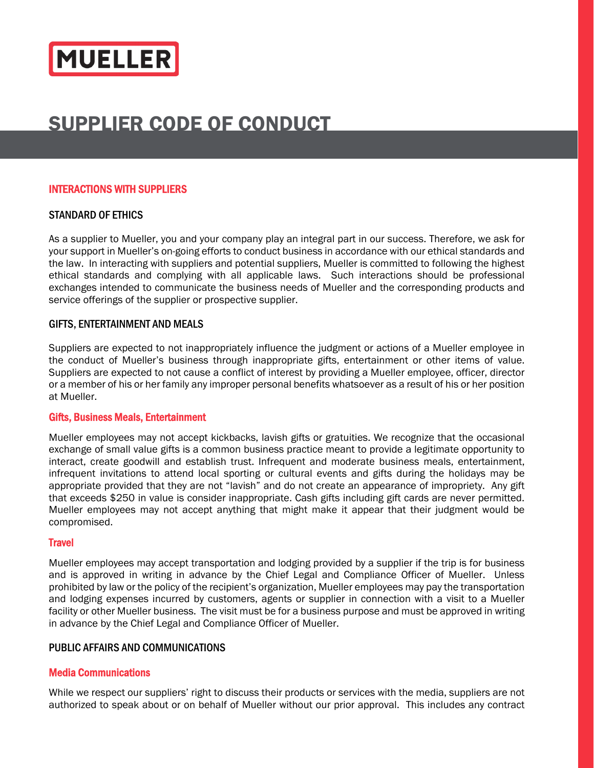

# SUPPLIER CODE OF CONDUCT

# INTERACTIONS WITH SUPPLIERS

# STANDARD OF ETHICS

As a supplier to Mueller, you and your company play an integral part in our success. Therefore, we ask for your support in Mueller's on-going efforts to conduct business in accordance with our ethical standards and the law. In interacting with suppliers and potential suppliers, Mueller is committed to following the highest ethical standards and complying with all applicable laws. Such interactions should be professional exchanges intended to communicate the business needs of Mueller and the corresponding products and service offerings of the supplier or prospective supplier.

# GIFTS, ENTERTAINMENT AND MEALS

Suppliers are expected to not inappropriately influence the judgment or actions of a Mueller employee in the conduct of Mueller's business through inappropriate gifts, entertainment or other items of value. Suppliers are expected to not cause a conflict of interest by providing a Mueller employee, officer, director or a member of his or her family any improper personal benefits whatsoever as a result of his or her position at Mueller.

#### Gifts, Business Meals, Entertainment

Mueller employees may not accept kickbacks, lavish gifts or gratuities. We recognize that the occasional exchange of small value gifts is a common business practice meant to provide a legitimate opportunity to interact, create goodwill and establish trust. Infrequent and moderate business meals, entertainment, infrequent invitations to attend local sporting or cultural events and gifts during the holidays may be appropriate provided that they are not "lavish" and do not create an appearance of impropriety. Any gift that exceeds \$250 in value is consider inappropriate. Cash gifts including gift cards are never permitted. Mueller employees may not accept anything that might make it appear that their judgment would be compromised.

# **Travel**

Mueller employees may accept transportation and lodging provided by a supplier if the trip is for business and is approved in writing in advance by the Chief Legal and Compliance Officer of Mueller. Unless prohibited by law or the policy of the recipient's organization, Mueller employees may pay the transportation and lodging expenses incurred by customers, agents or supplier in connection with a visit to a Mueller facility or other Mueller business. The visit must be for a business purpose and must be approved in writing in advance by the Chief Legal and Compliance Officer of Mueller.

# PUBLIC AFFAIRS AND COMMUNICATIONS

# Media Communications

While we respect our suppliers' right to discuss their products or services with the media, suppliers are not authorized to speak about or on behalf of Mueller without our prior approval. This includes any contract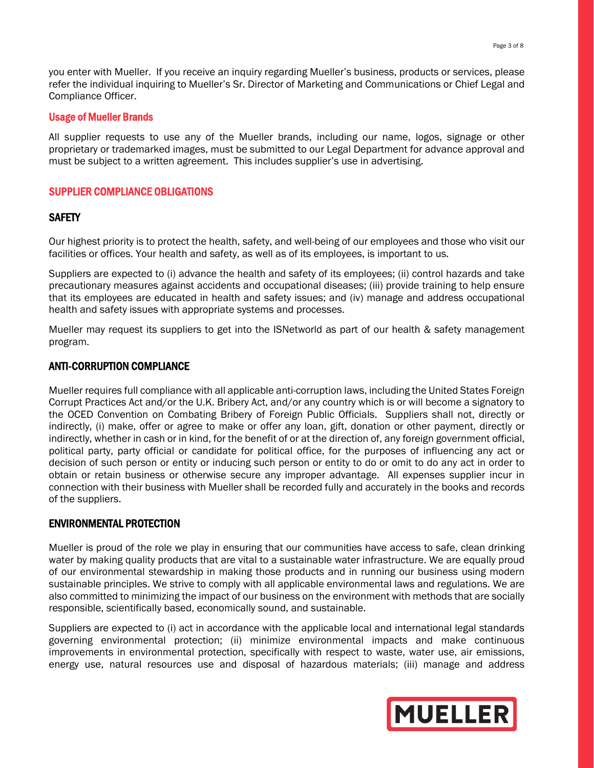you enter with Mueller. If you receive an inquiry regarding Mueller's business, products or services, please refer the individual inquiring to Mueller's Sr. Director of Marketing and Communications or Chief Legal and Compliance Officer.

#### Usage of Mueller Brands

All supplier requests to use any of the Mueller brands, including our name, logos, signage or other proprietary or trademarked images, must be submitted to our Legal Department for advance approval and must be subject to a written agreement. This includes supplier's use in advertising.

#### SUPPLIER COMPLIANCE OBLIGATIONS

#### **SAFETY**

Our highest priority is to protect the health, safety, and well-being of our employees and those who visit our facilities or offices. Your health and safety, as well as of its employees, is important to us.

Suppliers are expected to (i) advance the health and safety of its employees; (ii) control hazards and take precautionary measures against accidents and occupational diseases; (iii) provide training to help ensure that its employees are educated in health and safety issues; and (iv) manage and address occupational health and safety issues with appropriate systems and processes.

Mueller may request its suppliers to get into the ISNetworld as part of our health & safety management program.

#### ANTI-CORRUPTION COMPLIANCE

Mueller requires full compliance with all applicable anti-corruption laws, including the United States Foreign Corrupt Practices Act and/or the U.K. Bribery Act, and/or any country which is or will become a signatory to the OCED Convention on Combating Bribery of Foreign Public Officials. Suppliers shall not, directly or indirectly, (i) make, offer or agree to make or offer any loan, gift, donation or other payment, directly or indirectly, whether in cash or in kind, for the benefit of or at the direction of, any foreign government official, political party, party official or candidate for political office, for the purposes of influencing any act or decision of such person or entity or inducing such person or entity to do or omit to do any act in order to obtain or retain business or otherwise secure any improper advantage. All expenses supplier incur in connection with their business with Mueller shall be recorded fully and accurately in the books and records of the suppliers.

#### ENVIRONMENTAL PROTECTION

Mueller is proud of the role we play in ensuring that our communities have access to safe, clean drinking water by making quality products that are vital to a sustainable water infrastructure. We are equally proud of our environmental stewardship in making those products and in running our business using modern sustainable principles. We strive to comply with all applicable environmental laws and regulations. We are also committed to minimizing the impact of our business on the environment with methods that are socially responsible, scientifically based, economically sound, and sustainable.

Suppliers are expected to (i) act in accordance with the applicable local and international legal standards governing environmental protection; (ii) minimize environmental impacts and make continuous improvements in environmental protection, specifically with respect to waste, water use, air emissions, energy use, natural resources use and disposal of hazardous materials; (iii) manage and address

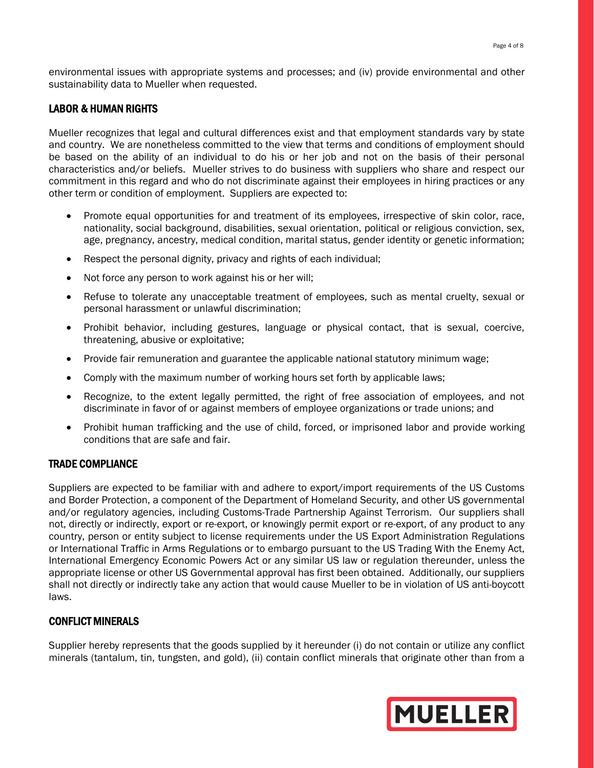environmental issues with appropriate systems and processes; and (iv) provide environmental and other sustainability data to Mueller when requested.

# LABOR & HUMAN RIGHTS

Mueller recognizes that legal and cultural differences exist and that employment standards vary by state and country. We are nonetheless committed to the view that terms and conditions of employment should be based on the ability of an individual to do his or her job and not on the basis of their personal characteristics and/or beliefs. Mueller strives to do business with suppliers who share and respect our commitment in this regard and who do not discriminate against their employees in hiring practices or any other term or condition of employment. Suppliers are expected to:

- Promote equal opportunities for and treatment of its employees, irrespective of skin color, race, nationality, social background, disabilities, sexual orientation, political or religious conviction, sex, age, pregnancy, ancestry, medical condition, marital status, gender identity or genetic information;
- Respect the personal dignity, privacy and rights of each individual;
- Not force any person to work against his or her will;
- Refuse to tolerate any unacceptable treatment of employees, such as mental cruelty, sexual or personal harassment or unlawful discrimination;
- Prohibit behavior, including gestures, language or physical contact, that is sexual, coercive, threatening, abusive or exploitative;
- Provide fair remuneration and guarantee the applicable national statutory minimum wage;
- Comply with the maximum number of working hours set forth by applicable laws;
- Recognize, to the extent legally permitted, the right of free association of employees, and not discriminate in favor of or against members of employee organizations or trade unions; and
- Prohibit human trafficking and the use of child, forced, or imprisoned labor and provide working conditions that are safe and fair.

# TRADE COMPLIANCE

Suppliers are expected to be familiar with and adhere to export/import requirements of the US Customs and Border Protection, a component of the Department of Homeland Security, and other US governmental and/or regulatory agencies, including Customs-Trade Partnership Against Terrorism. Our suppliers shall not, directly or indirectly, export or re-export, or knowingly permit export or re-export, of any product to any country, person or entity subject to license requirements under the US Export Administration Regulations or International Traffic in Arms Regulations or to embargo pursuant to the US Trading With the Enemy Act, International Emergency Economic Powers Act or any similar US law or regulation thereunder, unless the appropriate license or other US Governmental approval has first been obtained. Additionally, our suppliers shall not directly or indirectly take any action that would cause Mueller to be in violation of US anti-boycott laws.

# CONFLICT MINERALS

Supplier hereby represents that the goods supplied by it hereunder (i) do not contain or utilize any conflict minerals (tantalum, tin, tungsten, and gold), (ii) contain conflict minerals that originate other than from a

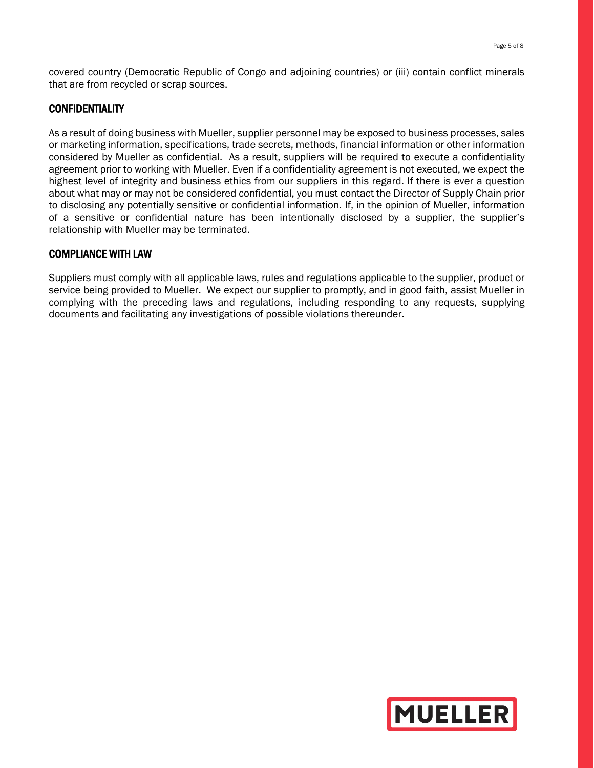covered country (Democratic Republic of Congo and adjoining countries) or (iii) contain conflict minerals that are from recycled or scrap sources.

# **CONFIDENTIALITY**

As a result of doing business with Mueller, supplier personnel may be exposed to business processes, sales or marketing information, specifications, trade secrets, methods, financial information or other information considered by Mueller as confidential. As a result, suppliers will be required to execute a confidentiality agreement prior to working with Mueller. Even if a confidentiality agreement is not executed, we expect the highest level of integrity and business ethics from our suppliers in this regard. If there is ever a question about what may or may not be considered confidential, you must contact the Director of Supply Chain prior to disclosing any potentially sensitive or confidential information. If, in the opinion of Mueller, information of a sensitive or confidential nature has been intentionally disclosed by a supplier, the supplier's relationship with Mueller may be terminated.

#### COMPLIANCE WITH LAW

Suppliers must comply with all applicable laws, rules and regulations applicable to the supplier, product or service being provided to Mueller. We expect our supplier to promptly, and in good faith, assist Mueller in complying with the preceding laws and regulations, including responding to any requests, supplying documents and facilitating any investigations of possible violations thereunder.

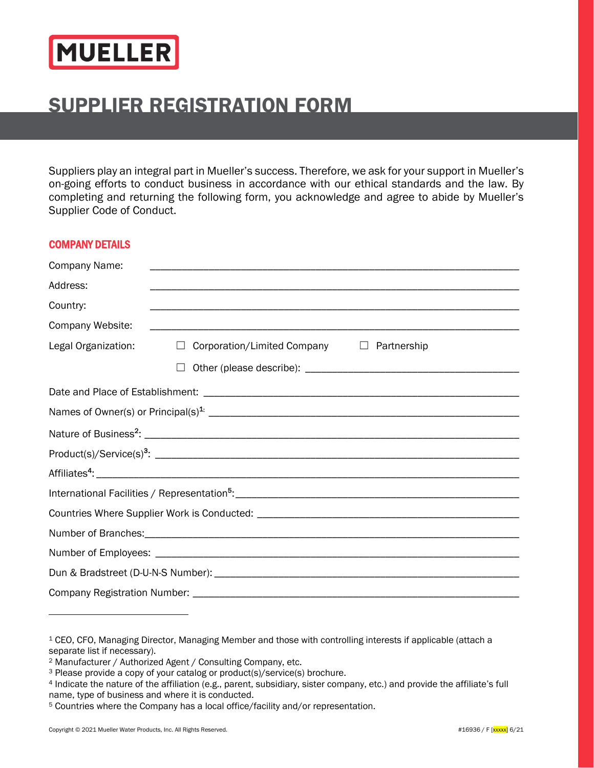

# SUPPLIER REGISTRATION FORM

Suppliers play an integral part in Mueller's success. Therefore, we ask for your support in Mueller's on-going efforts to conduct business in accordance with our ethical standards and the law. By completing and returning the following form, you acknowledge and agree to abide by Mueller's Supplier Code of Conduct.

# COMPANY DETAILS

| Company Name:       |                                                              |  |
|---------------------|--------------------------------------------------------------|--|
| Address:            |                                                              |  |
| Country:            |                                                              |  |
| Company Website:    |                                                              |  |
| Legal Organization: | Corporation/Limited Company<br>$\Box$ Partnership<br>$\perp$ |  |
|                     |                                                              |  |
|                     |                                                              |  |
|                     |                                                              |  |
|                     |                                                              |  |
|                     |                                                              |  |
|                     |                                                              |  |
|                     |                                                              |  |
|                     |                                                              |  |
|                     |                                                              |  |
|                     |                                                              |  |
|                     |                                                              |  |
|                     |                                                              |  |

<sup>1</sup> CEO, CFO, Managing Director, Managing Member and those with controlling interests if applicable (attach a separate list if necessary).

<sup>2</sup> Manufacturer / Authorized Agent / Consulting Company, etc.

<sup>3</sup> Please provide a copy of your catalog or product(s)/service(s) brochure.

<sup>4</sup> Indicate the nature of the affiliation (e.g., parent, subsidiary, sister company, etc.) and provide the affiliate's full name, type of business and where it is conducted.

<sup>5</sup> Countries where the Company has a local office/facility and/or representation.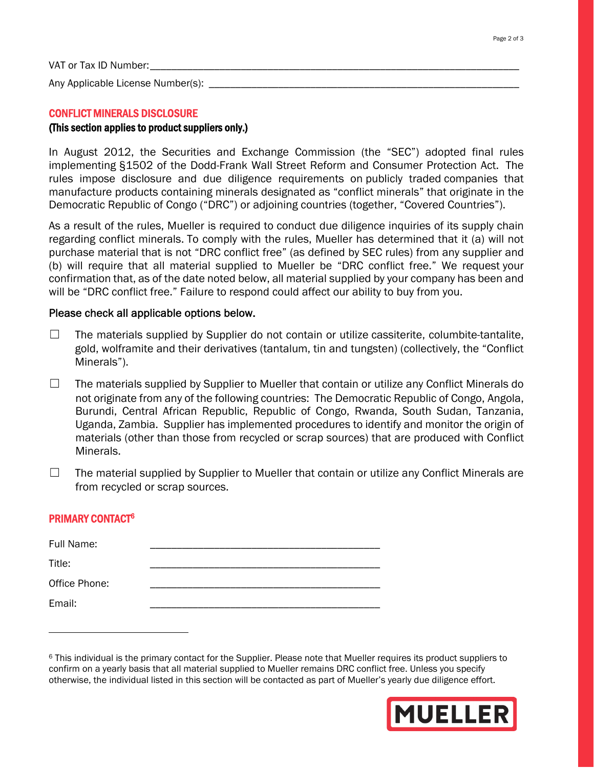VAT or Tax ID Number:

Any Applicable License Number(s): \_\_\_\_\_\_\_\_\_\_\_

#### CONFLICT MINERALS DISCLOSURE

# (This section applies to product suppliers only.)

In August 2012, the Securities and Exchange Commission (the "SEC") adopted final rules implementing §1502 of the Dodd-Frank Wall Street Reform and Consumer Protection Act. The rules impose disclosure and due diligence requirements on publicly traded companies that manufacture products containing minerals designated as "conflict minerals" that originate in the Democratic Republic of Congo ("DRC") or adjoining countries (together, "Covered Countries").

As a result of the rules, Mueller is required to conduct due diligence inquiries of its supply chain regarding conflict minerals. To comply with the rules, Mueller has determined that it (a) will not purchase material that is not "DRC conflict free" (as defined by SEC rules) from any supplier and (b) will require that all material supplied to Mueller be "DRC conflict free." We request your confirmation that, as of the date noted below, all material supplied by your company has been and will be "DRC conflict free." Failure to respond could affect our ability to buy from you.

#### Please check all applicable options below.

- $\Box$  The materials supplied by Supplier do not contain or utilize cassiterite, columbite-tantalite, gold, wolframite and their derivatives (tantalum, tin and tungsten) (collectively, the "Conflict Minerals").
- ☐ The materials supplied by Supplier to Mueller that contain or utilize any Conflict Minerals do not originate from any of the following countries: The Democratic Republic of Congo, Angola, Burundi, Central African Republic, Republic of Congo, Rwanda, South Sudan, Tanzania, Uganda, Zambia. Supplier has implemented procedures to identify and monitor the origin of materials (other than those from recycled or scrap sources) that are produced with Conflict Minerals.
- $\Box$  The material supplied by Supplier to Mueller that contain or utilize any Conflict Minerals are from recycled or scrap sources.

# PRIMARY CONTACT6

| Full Name:    |  |
|---------------|--|
| Title:        |  |
| Office Phone: |  |
| Email:        |  |

<sup>6</sup> This individual is the primary contact for the Supplier. Please note that Mueller requires its product suppliers to confirm on a yearly basis that all material supplied to Mueller remains DRC conflict free. Unless you specify otherwise, the individual listed in this section will be contacted as part of Mueller's yearly due diligence effort.